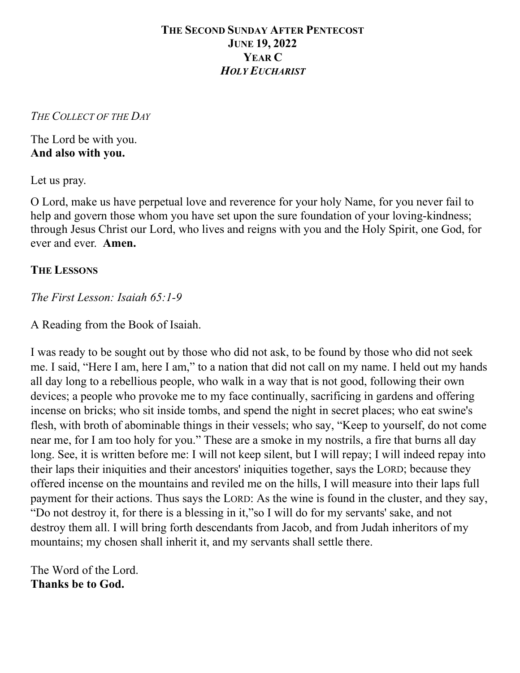### **THE SECOND SUNDAY AFTER PENTECOST JUNE 19, 2022 YEAR C** *HOLY EUCHARIST*

## *THE COLLECT OF THE DAY*

The Lord be with you. **And also with you.**

Let us pray.

O Lord, make us have perpetual love and reverence for your holy Name, for you never fail to help and govern those whom you have set upon the sure foundation of your loving-kindness; through Jesus Christ our Lord, who lives and reigns with you and the Holy Spirit, one God, for ever and ever. **Amen.**

## **THE LESSONS**

# *The First Lesson: Isaiah 65:1-9*

A Reading from the Book of Isaiah.

I was ready to be sought out by those who did not ask, to be found by those who did not seek me. I said, "Here I am, here I am," to a nation that did not call on my name. I held out my hands all day long to a rebellious people, who walk in a way that is not good, following their own devices; a people who provoke me to my face continually, sacrificing in gardens and offering incense on bricks; who sit inside tombs, and spend the night in secret places; who eat swine's flesh, with broth of abominable things in their vessels; who say, "Keep to yourself, do not come near me, for I am too holy for you." These are a smoke in my nostrils, a fire that burns all day long. See, it is written before me: I will not keep silent, but I will repay; I will indeed repay into their laps their iniquities and their ancestors' iniquities together, says the LORD; because they offered incense on the mountains and reviled me on the hills, I will measure into their laps full payment for their actions. Thus says the LORD: As the wine is found in the cluster, and they say, "Do not destroy it, for there is a blessing in it,"so I will do for my servants' sake, and not destroy them all. I will bring forth descendants from Jacob, and from Judah inheritors of my mountains; my chosen shall inherit it, and my servants shall settle there.

The Word of the Lord. **Thanks be to God.**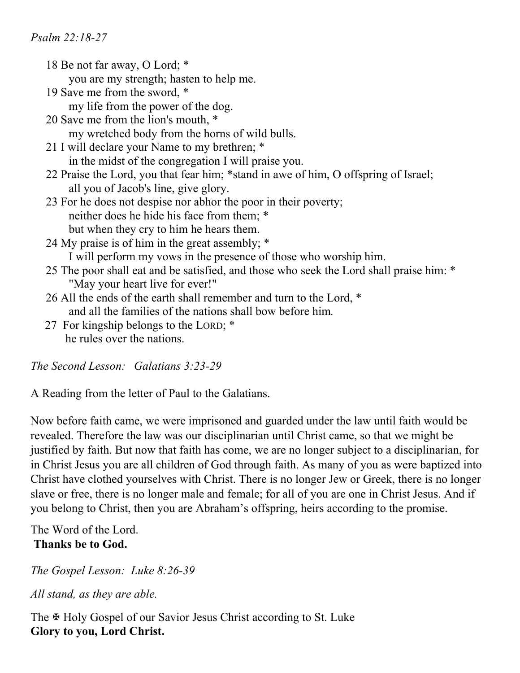18 Be not far away, O Lord; \* you are my strength; hasten to help me. 19 Save me from the sword, \* my life from the power of the dog. 20 Save me from the lion's mouth, \* my wretched body from the horns of wild bulls. 21 I will declare your Name to my brethren; \* in the midst of the congregation I will praise you. 22 Praise the Lord, you that fear him; \*stand in awe of him, O offspring of Israel; all you of Jacob's line, give glory. 23 For he does not despise nor abhor the poor in their poverty; neither does he hide his face from them; \* but when they cry to him he hears them. 24 My praise is of him in the great assembly; \* I will perform my vows in the presence of those who worship him. 25 The poor shall eat and be satisfied, and those who seek the Lord shall praise him: \* "May your heart live for ever!" 26 All the ends of the earth shall remember and turn to the Lord,  $*$ and all the families of the nations shall bow before him*.* 27 For kingship belongs to the LORD; \*

he rules over the nations.

*The Second Lesson: Galatians 3:23-29*

A Reading from the letter of Paul to the Galatians.

Now before faith came, we were imprisoned and guarded under the law until faith would be revealed. Therefore the law was our disciplinarian until Christ came, so that we might be justified by faith. But now that faith has come, we are no longer subject to a disciplinarian, for in Christ Jesus you are all children of God through faith. As many of you as were baptized into Christ have clothed yourselves with Christ. There is no longer Jew or Greek, there is no longer slave or free, there is no longer male and female; for all of you are one in Christ Jesus. And if you belong to Christ, then you are Abraham's offspring, heirs according to the promise.

The Word of the Lord. **Thanks be to God.**

*The Gospel Lesson: Luke 8:26-39*

*All stand, as they are able.*

The  $\overline{\mathbf{A}}$  Holy Gospel of our Savior Jesus Christ according to St. Luke **Glory to you, Lord Christ.**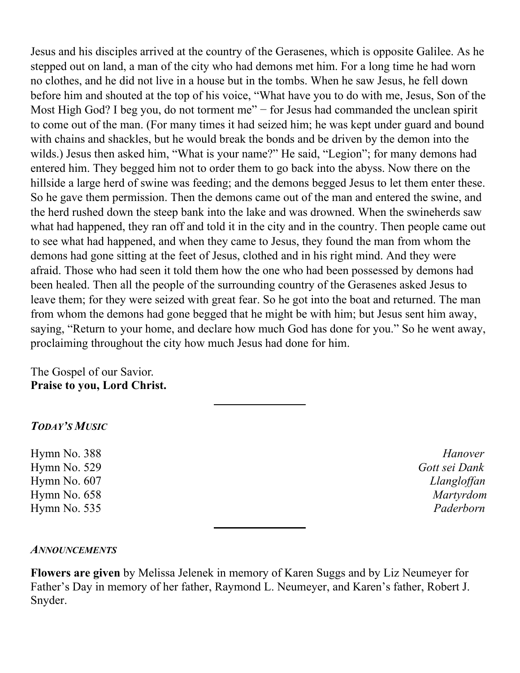Jesus and his disciples arrived at the country of the Gerasenes, which is opposite Galilee. As he stepped out on land, a man of the city who had demons met him. For a long time he had worn no clothes, and he did not live in a house but in the tombs. When he saw Jesus, he fell down before him and shouted at the top of his voice, "What have you to do with me, Jesus, Son of the Most High God? I beg you, do not torment me" − for Jesus had commanded the unclean spirit to come out of the man. (For many times it had seized him; he was kept under guard and bound with chains and shackles, but he would break the bonds and be driven by the demon into the wilds.) Jesus then asked him, "What is your name?" He said, "Legion"; for many demons had entered him. They begged him not to order them to go back into the abyss. Now there on the hillside a large herd of swine was feeding; and the demons begged Jesus to let them enter these. So he gave them permission. Then the demons came out of the man and entered the swine, and the herd rushed down the steep bank into the lake and was drowned. When the swineherds saw what had happened, they ran off and told it in the city and in the country. Then people came out to see what had happened, and when they came to Jesus, they found the man from whom the demons had gone sitting at the feet of Jesus, clothed and in his right mind. And they were afraid. Those who had seen it told them how the one who had been possessed by demons had been healed. Then all the people of the surrounding country of the Gerasenes asked Jesus to leave them; for they were seized with great fear. So he got into the boat and returned. The man from whom the demons had gone begged that he might be with him; but Jesus sent him away, saying, "Return to your home, and declare how much God has done for you." So he went away, proclaiming throughout the city how much Jesus had done for him.

## The Gospel of our Savior. **Praise to you, Lord Christ.**

#### *TODAY'S MUSIC*

Hymn No. 388 *Hanover* Hymn No. 529 *Gott sei Dank* Hymn No. 607 *Llangloffan* Hymn No. 658 *Martyrdom* Hymn No. 535 *Paderborn*

#### *ANNOUNCEMENTS*

**Flowers are given** by Melissa Jelenek in memory of Karen Suggs and by Liz Neumeyer for Father's Day in memory of her father, Raymond L. Neumeyer, and Karen's father, Robert J. Snyder.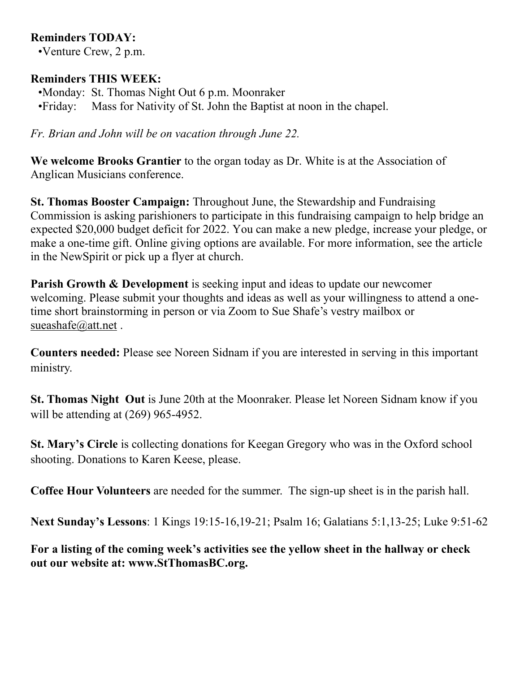## **Reminders TODAY:**

•Venture Crew, 2 p.m.

# **Reminders THIS WEEK:**

•Monday: St. Thomas Night Out 6 p.m. Moonraker

•Friday: Mass for Nativity of St. John the Baptist at noon in the chapel.

*Fr. Brian and John will be on vacation through June 22.* 

**We welcome Brooks Grantier** to the organ today as Dr. White is at the Association of Anglican Musicians conference.

**St. Thomas Booster Campaign:** Throughout June, the Stewardship and Fundraising Commission is asking parishioners to participate in this fundraising campaign to help bridge an expected \$20,000 budget deficit for 2022. You can make a new pledge, increase your pledge, or make a one-time gift. Online giving options are available. For more information, see the article in the NewSpirit or pick up a flyer at church.

**Parish Growth & Development** is seeking input and ideas to update our newcomer welcoming. Please submit your thoughts and ideas as well as your willingness to attend a onetime short brainstorming in person or via Zoom to Sue Shafe's vestry mailbox or [sueashafe@att.net](mailto:sueashafe@att.net) .

**Counters needed:** Please see Noreen Sidnam if you are interested in serving in this important ministry.

**St. Thomas Night Out** is June 20th at the Moonraker. Please let Noreen Sidnam know if you will be attending at (269) 965-4952.

**St. Mary's Circle** is collecting donations for Keegan Gregory who was in the Oxford school shooting. Donations to Karen Keese, please.

**Coffee Hour Volunteers** are needed for the summer. The sign-up sheet is in the parish hall.

**Next Sunday's Lessons**: 1 Kings 19:15-16,19-21; Psalm 16; Galatians 5:1,13-25; Luke 9:51-62

**For a listing of the coming week's activities see the yellow sheet in the hallway or check out our website at: www.StThomasBC.org.**